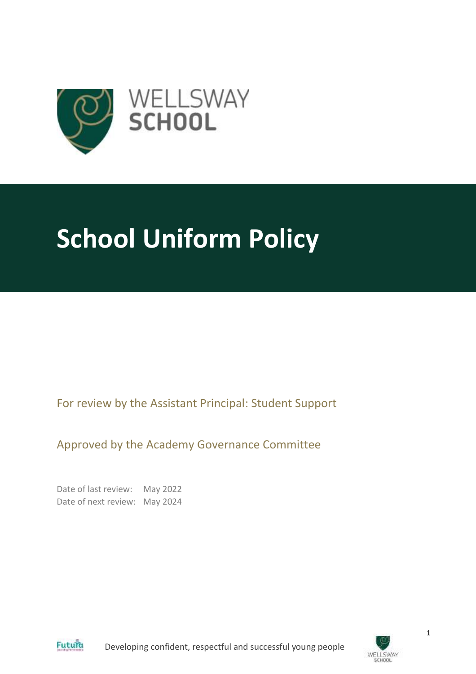

# **School Uniform Policy**

For review by the Assistant Principal: Student Support

Approved by the Academy Governance Committee

Date of last review: May 2022 Date of next review: May 2024



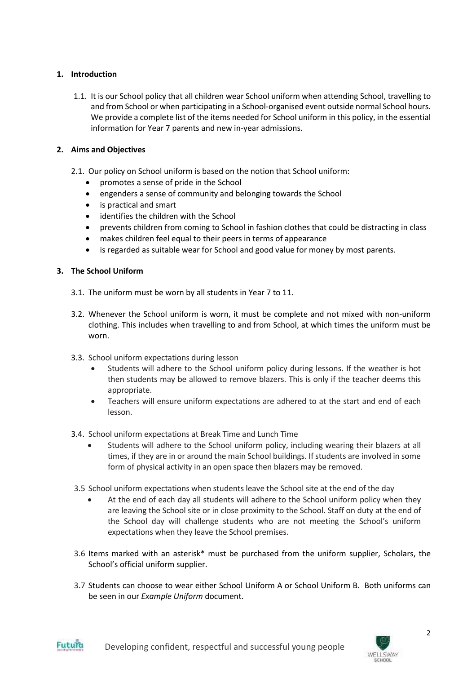# **1. Introduction**

1.1. It is our School policy that all children wear School uniform when attending School, travelling to and from School or when participating in a School-organised event outside normal School hours. We provide a complete list of the items needed for School uniform in this policy, in the essential information for Year 7 parents and new in-year admissions.

# **2. Aims and Objectives**

- 2.1. Our policy on School uniform is based on the notion that School uniform:
	- promotes a sense of pride in the School
	- engenders a sense of community and belonging towards the School
	- is practical and smart
	- identifies the children with the School
	- prevents children from coming to School in fashion clothes that could be distracting in class
	- makes children feel equal to their peers in terms of appearance
	- is regarded as suitable wear for School and good value for money by most parents.

# **3. The School Uniform**

- 3.1. The uniform must be worn by all students in Year 7 to 11.
- 3.2. Whenever the School uniform is worn, it must be complete and not mixed with non-uniform clothing. This includes when travelling to and from School, at which times the uniform must be worn.
- 3.3. School uniform expectations during lesson
	- Students will adhere to the School uniform policy during lessons. If the weather is hot then students may be allowed to remove blazers. This is only if the teacher deems this appropriate.
	- Teachers will ensure uniform expectations are adhered to at the start and end of each lesson.
- 3.4. School uniform expectations at Break Time and Lunch Time
	- Students will adhere to the School uniform policy, including wearing their blazers at all times, if they are in or around the main School buildings. If students are involved in some form of physical activity in an open space then blazers may be removed.
- 3.5 School uniform expectations when students leave the School site at the end of the day
	- At the end of each day all students will adhere to the School uniform policy when they are leaving the School site or in close proximity to the School. Staff on duty at the end of the School day will challenge students who are not meeting the School's uniform expectations when they leave the School premises.
- 3.6 Items marked with an asterisk\* must be purchased from the uniform supplier, Scholars, the School's official uniform supplier.
- 3.7 Students can choose to wear either School Uniform A or School Uniform B. Both uniforms can be seen in our *Example Uniform* document.

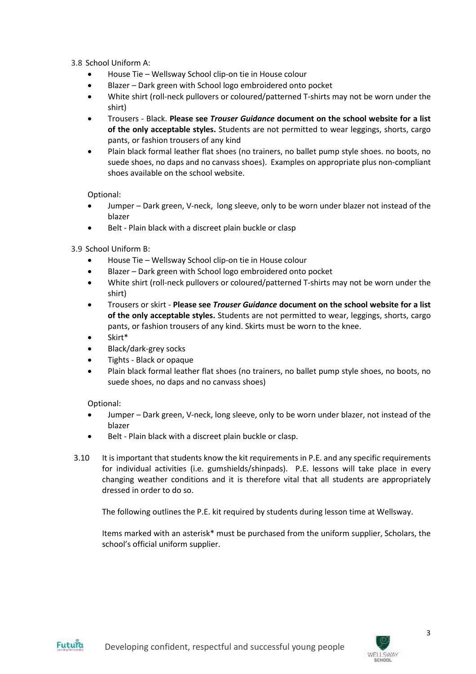3.8 School Uniform A:

- House Tie Wellsway School clip-on tie in House colour
- Blazer Dark green with School logo embroidered onto pocket
- White shirt (roll-neck pullovers or coloured/patterned T-shirts may not be worn under the shirt)
- Trousers Black. **Please see** *Trouser Guidance* **document on the school website for a list of the only acceptable styles.** Students are not permitted to wear leggings, shorts, cargo pants, or fashion trousers of any kind
- Plain black formal leather flat shoes (no trainers, no ballet pump style shoes. no boots, no suede shoes, no daps and no canvass shoes). Examples on appropriate plus non-compliant shoes available on the school website.

Optional:

- Jumper Dark green, V-neck, long sleeve, only to be worn under blazer not instead of the blazer
- Belt Plain black with a discreet plain buckle or clasp

3.9 School Uniform B:

- House Tie Wellsway School clip-on tie in House colour
- Blazer Dark green with School logo embroidered onto pocket
- White shirt (roll-neck pullovers or coloured/patterned T-shirts may not be worn under the shirt)
- Trousers or skirt **Please see** *Trouser Guidance* **document on the school website for a list of the only acceptable styles.** Students are not permitted to wear, leggings, shorts, cargo pants, or fashion trousers of any kind. Skirts must be worn to the knee.
- Skirt\*
- Black/dark-grey socks
- Tights Black or opaque
- Plain black formal leather flat shoes (no trainers, no ballet pump style shoes, no boots, no suede shoes, no daps and no canvass shoes)

Optional:

- Jumper Dark green, V-neck, long sleeve, only to be worn under blazer, not instead of the blazer
- Belt Plain black with a discreet plain buckle or clasp.
- 3.10 It is important that students know the kit requirements in P.E. and any specific requirements for individual activities (i.e. gumshields/shinpads). P.E. lessons will take place in every changing weather conditions and it is therefore vital that all students are appropriately dressed in order to do so.

The following outlines the P.E. kit required by students during lesson time at Wellsway.

Items marked with an asterisk\* must be purchased from the uniform supplier, Scholars, the school's official uniform supplier.



3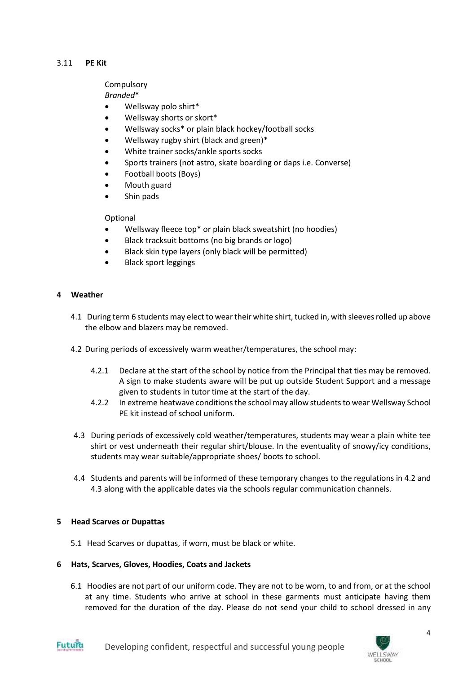#### 3.11 **PE Kit**

# **Compulsory**

*Branded*\*

- Wellsway polo shirt\*
- Wellsway shorts or skort\*
- Wellsway socks\* or plain black hockey/football socks
- Wellsway rugby shirt (black and green)\*
- White trainer socks/ankle sports socks
- Sports trainers (not astro, skate boarding or daps i.e. Converse)
- Football boots (Boys)
- Mouth guard
- Shin pads

# Optional

- Wellsway fleece top\* or plain black sweatshirt (no hoodies)
- Black tracksuit bottoms (no big brands or logo)
- Black skin type layers (only black will be permitted)
- Black sport leggings

# **4 Weather**

- 4.1 During term 6 students may elect to wear their white shirt, tucked in, with sleeves rolled up above the elbow and blazers may be removed.
- 4.2 During periods of excessively warm weather/temperatures, the school may:
	- 4.2.1 Declare at the start of the school by notice from the Principal that ties may be removed. A sign to make students aware will be put up outside Student Support and a message given to students in tutor time at the start of the day.
	- 4.2.2 In extreme heatwave conditions the school may allow students to wear Wellsway School PE kit instead of school uniform.
- 4.3 During periods of excessively cold weather/temperatures, students may wear a plain white tee shirt or vest underneath their regular shirt/blouse. In the eventuality of snowy/icy conditions, students may wear suitable/appropriate shoes/ boots to school.
- 4.4 Students and parents will be informed of these temporary changes to the regulations in 4.2 and 4.3 along with the applicable dates via the schools regular communication channels.

# **5 Head Scarves or Dupattas**

5.1 Head Scarves or dupattas, if worn, must be black or white.

#### **6 Hats, Scarves, Gloves, Hoodies, Coats and Jackets**

6.1 Hoodies are not part of our uniform code. They are not to be worn, to and from, or at the school at any time. Students who arrive at school in these garments must anticipate having them removed for the duration of the day. Please do not send your child to school dressed in any



4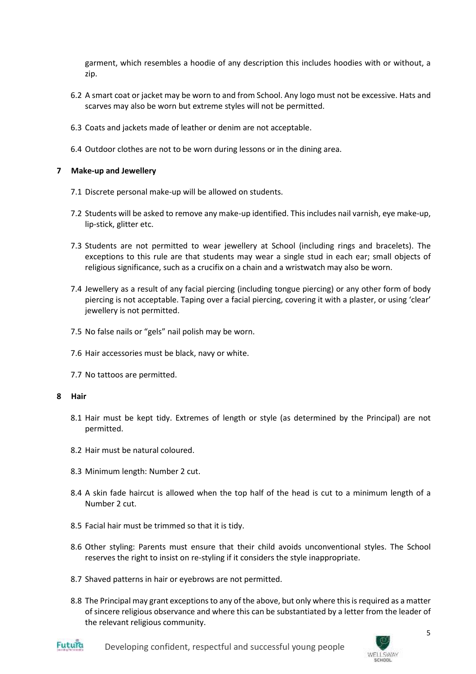garment, which resembles a hoodie of any description this includes hoodies with or without, a zip.

- 6.2 A smart coat or jacket may be worn to and from School. Any logo must not be excessive. Hats and scarves may also be worn but extreme styles will not be permitted.
- 6.3 Coats and jackets made of leather or denim are not acceptable.
- 6.4 Outdoor clothes are not to be worn during lessons or in the dining area.

# **7 Make-up and Jewellery**

- 7.1 Discrete personal make-up will be allowed on students.
- 7.2 Students will be asked to remove any make-up identified. Thisincludes nail varnish, eye make-up, lip-stick, glitter etc.
- 7.3 Students are not permitted to wear jewellery at School (including rings and bracelets). The exceptions to this rule are that students may wear a single stud in each ear; small objects of religious significance, such as a crucifix on a chain and a wristwatch may also be worn.
- 7.4 Jewellery as a result of any facial piercing (including tongue piercing) or any other form of body piercing is not acceptable. Taping over a facial piercing, covering it with a plaster, or using 'clear' jewellery is not permitted.
- 7.5 No false nails or "gels" nail polish may be worn.
- 7.6 Hair accessories must be black, navy or white.
- 7.7 No tattoos are permitted.

#### **8 Hair**

- 8.1 Hair must be kept tidy. Extremes of length or style (as determined by the Principal) are not permitted.
- 8.2 Hair must be natural coloured.
- 8.3 Minimum length: Number 2 cut.
- 8.4 A skin fade haircut is allowed when the top half of the head is cut to a minimum length of a Number 2 cut.
- 8.5 Facial hair must be trimmed so that it is tidy.
- 8.6 Other styling: Parents must ensure that their child avoids unconventional styles. The School reserves the right to insist on re-styling if it considers the style inappropriate.
- 8.7 Shaved patterns in hair or eyebrows are not permitted.
- 8.8 The Principal may grant exceptions to any of the above, but only where this is required as a matter of sincere religious observance and where this can be substantiated by a letter from the leader of the relevant religious community.





Developing confident, respectful and successful young people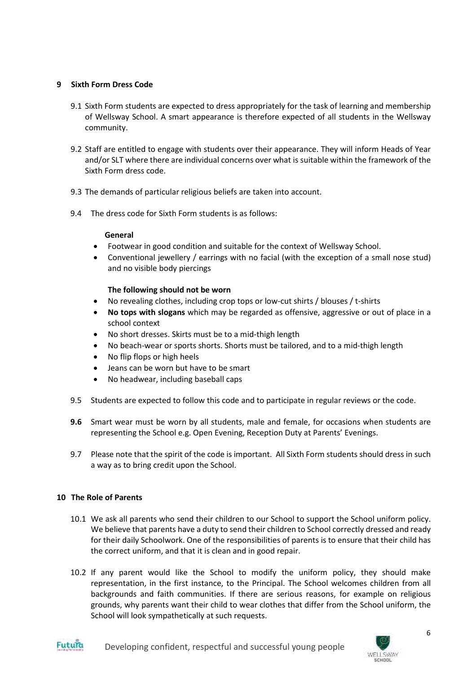# **9 Sixth Form Dress Code**

- 9.1 Sixth Form students are expected to dress appropriately for the task of learning and membership of Wellsway School. A smart appearance is therefore expected of all students in the Wellsway community.
- 9.2 Staff are entitled to engage with students over their appearance. They will inform Heads of Year and/or SLT where there are individual concerns over what is suitable within the framework of the Sixth Form dress code.
- 9.3 The demands of particular religious beliefs are taken into account.
- 9.4 The dress code for Sixth Form students is as follows:

#### **General**

- Footwear in good condition and suitable for the context of Wellsway School.
- Conventional jewellery / earrings with no facial (with the exception of a small nose stud) and no visible body piercings

# **The following should not be worn**

- No revealing clothes, including crop tops or low-cut shirts / blouses / t-shirts
- **No tops with slogans** which may be regarded as offensive, aggressive or out of place in a school context
- No short dresses. Skirts must be to a mid-thigh length
- No beach-wear or sports shorts. Shorts must be tailored, and to a mid-thigh length
- No flip flops or high heels
- Jeans can be worn but have to be smart
- No headwear, including baseball caps
- 9.5 Students are expected to follow this code and to participate in regular reviews or the code.
- **9.6** Smart wear must be worn by all students, male and female, for occasions when students are representing the School e.g. Open Evening, Reception Duty at Parents' Evenings.
- 9.7 Please note that the spirit of the code is important. All Sixth Form students should dress in such a way as to bring credit upon the School.

#### **10 The Role of Parents**

- 10.1 We ask all parents who send their children to our School to support the School uniform policy. We believe that parents have a duty to send their children to School correctly dressed and ready for their daily Schoolwork. One of the responsibilities of parents is to ensure that their child has the correct uniform, and that it is clean and in good repair.
- 10.2 If any parent would like the School to modify the uniform policy, they should make representation, in the first instance, to the Principal. The School welcomes children from all backgrounds and faith communities. If there are serious reasons, for example on religious grounds, why parents want their child to wear clothes that differ from the School uniform, the School will look sympathetically at such requests.



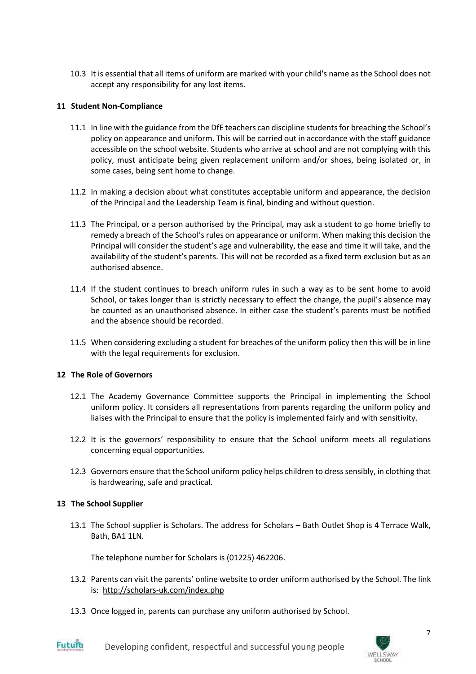10.3 It is essential that all items of uniform are marked with your child's name as the School does not accept any responsibility for any lost items.

#### **11 Student Non-Compliance**

- 11.1 In line with the guidance from the DfE teachers can discipline studentsfor breaching the School's policy on appearance and uniform. This will be carried out in accordance with the staff guidance accessible on the school website. Students who arrive at school and are not complying with this policy, must anticipate being given replacement uniform and/or shoes, being isolated or, in some cases, being sent home to change.
- 11.2 In making a decision about what constitutes acceptable uniform and appearance, the decision of the Principal and the Leadership Team is final, binding and without question.
- 11.3 The Principal, or a person authorised by the Principal, may ask a student to go home briefly to remedy a breach of the School's rules on appearance or uniform. When making this decision the Principal will consider the student's age and vulnerability, the ease and time it will take, and the availability of the student's parents. This will not be recorded as a fixed term exclusion but as an authorised absence.
- 11.4 If the student continues to breach uniform rules in such a way as to be sent home to avoid School, or takes longer than is strictly necessary to effect the change, the pupil's absence may be counted as an unauthorised absence. In either case the student's parents must be notified and the absence should be recorded.
- 11.5 When considering excluding a student for breaches of the uniform policy then this will be in line with the legal requirements for exclusion.

#### **12 The Role of Governors**

- 12.1 The Academy Governance Committee supports the Principal in implementing the School uniform policy. It considers all representations from parents regarding the uniform policy and liaises with the Principal to ensure that the policy is implemented fairly and with sensitivity.
- 12.2 It is the governors' responsibility to ensure that the School uniform meets all regulations concerning equal opportunities.
- 12.3 Governors ensure that the School uniform policy helps children to dress sensibly, in clothing that is hardwearing, safe and practical.

#### **13 The School Supplier**

13.1 The School supplier is Scholars. The address for Scholars – Bath Outlet Shop is 4 Terrace Walk, Bath, BA1 1LN.

The telephone number for Scholars is (01225) 462206.

- 13.2 Parents can visit the parents' online website to order uniform authorised by the School. The link is: <http://scholars-uk.com/index.php>
- 13.3 Once logged in, parents can purchase any uniform authorised by School.